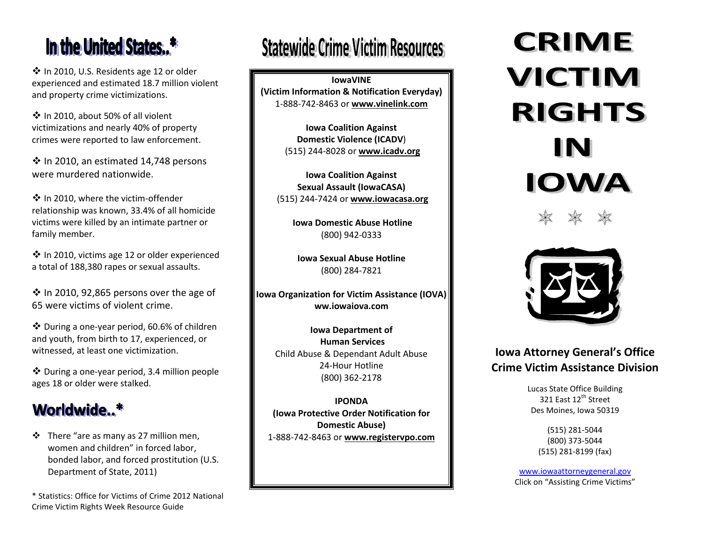## **In the United States..\***

❖ In 2010, U.S. Residents age 12 or older experienced and estimated 18.7 million violent and property crime victimizations.

 In 2010, about 50% of all violent victimizations and nearly 40% of property crimes were reported to law enforcement.

 $\cdot$  In 2010, an estimated 14,748 persons were murdered nationwide.

❖ In 2010, where the victim-offender relationship was known, 33.4% of all homicide victims were killed by an intimate partner or family member.

❖ In 2010, victims age 12 or older experienced a total of 188,380 rapes or sexual assaults.

 $\div$  In 2010, 92,865 persons over the age of 65 were victims of violent crime.

 During a one-year period, 60.6% of children and youth, from birth to 17, experienced, or witnessed, at least one victimization.

 During a one-year period, 3.4 million people ages 18 or older were stalked.

### Worldwide..\*

 $\div$  There "are as many as 27 million men, women and children" in forced labor, bonded labor, and forced prostitution (U.S. Department of State, 2011)

\* Statistics: Office for Victims of Crime 2012 National Crime Victim Rights Week Resource Guide

# Statewide Crime Victim Resources

**IowaVINE (Victim Information & Notification Everyday)** 1-888-742-8463 or **[www.vinelink.com](http://www.vinelink.com/)**

> **Iowa Coalition Against Domestic Violence (ICADV**) (515) 244-8028 or **www.icadv.org**

**Iowa Coalition Against Sexual Assault (IowaCASA)** (515) 244-7424 or **www.iowacasa.org**

> **Iowa Domestic Abuse Hotline** (800) 942-0333

**Iowa Sexual Abuse Hotline** (800) 284-7821

**Iowa Organization for Victim Assistance (IOVA) ww.iowaiova.com**

**Iowa Department of Human Services**  Child Abuse & Dependant Adult Abuse 24-Hour Hotline (800) 362-2178

**IPONDA (Iowa Protective Order Notification for Domestic Abuse)** 1-888-742-8463 or **www.registervpo.com**

# **CRIME VICTIM** ٦<br>ا  $\overline{\phantom{a}}$ IN i<br>L ľ

\* \* \*



**Iowa Attorney General's Office Crime Victim Assistance Division**

> Lucas State Office Building 321 East 12<sup>th</sup> Street Des Moines, Iowa 50319

> > (515) 281-5044 (800) 373-5044 (515) 281-8199 (fax)

[www.iowaattorneygeneral.gov](http://www.iowaattorneygeneral.gov/) Click on "Assisting Crime Victims"